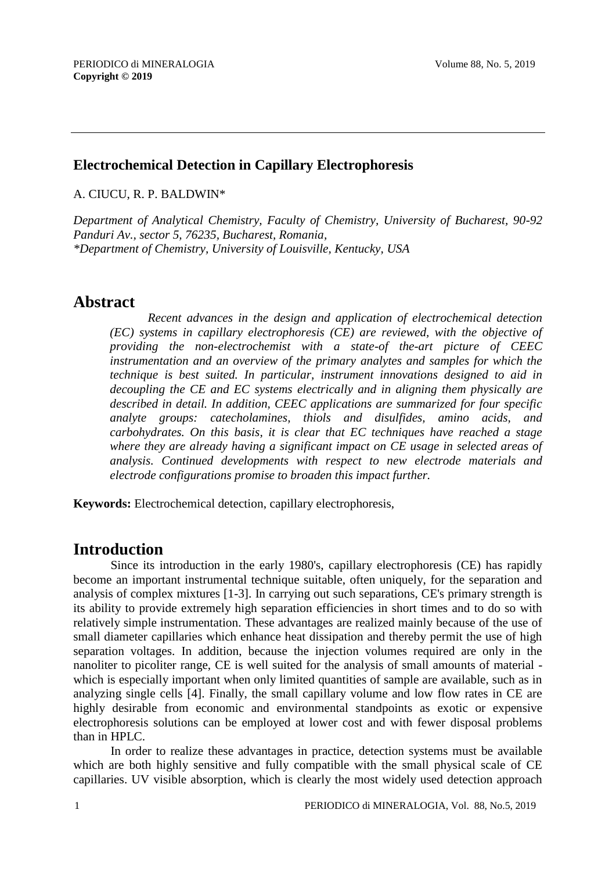# **Electrochemical Detection in Capillary Electrophoresis**

#### A. CIUCU, R. P. BALDWIN\*

*Department of Analytical Chemistry, Faculty of Chemistry, University of Bucharest, 90-92 Panduri Av., sector 5, 76235, Bucharest, Romania, \*Department of Chemistry, University of Louisville, Kentucky, USA*

# **Abstract**

*Recent advances in the design and application of electrochemical detection (EC) systems in capillary electrophoresis (CE) are reviewed, with the objective of providing the non-electrochemist with a state-of the-art picture of CEEC instrumentation and an overview of the primary analytes and samples for which the technique is best suited. In particular, instrument innovations designed to aid in decoupling the CE and EC systems electrically and in aligning them physically are described in detail. In addition, CEEC applications are summarized for four specific analyte groups: catecholamines, thiols and disulfides, amino acids, and carbohydrates. On this basis, it is clear that EC techniques have reached a stage where they are already having a significant impact on CE usage in selected areas of analysis. Continued developments with respect to new electrode materials and electrode configurations promise to broaden this impact further.*

**Keywords:** Electrochemical detection, capillary electrophoresis,

# **Introduction**

Since its introduction in the early 1980's, capillary electrophoresis (CE) has rapidly become an important instrumental technique suitable, often uniquely, for the separation and analysis of complex mixtures [1-3]. In carrying out such separations, CE's primary strength is its ability to provide extremely high separation efficiencies in short times and to do so with relatively simple instrumentation. These advantages are realized mainly because of the use of small diameter capillaries which enhance heat dissipation and thereby permit the use of high separation voltages. In addition, because the injection volumes required are only in the nanoliter to picoliter range, CE is well suited for the analysis of small amounts of material which is especially important when only limited quantities of sample are available, such as in analyzing single cells [4]. Finally, the small capillary volume and low flow rates in CE are highly desirable from economic and environmental standpoints as exotic or expensive electrophoresis solutions can be employed at lower cost and with fewer disposal problems than in HPLC.

In order to realize these advantages in practice, detection systems must be available which are both highly sensitive and fully compatible with the small physical scale of CE capillaries. UV visible absorption, which is clearly the most widely used detection approach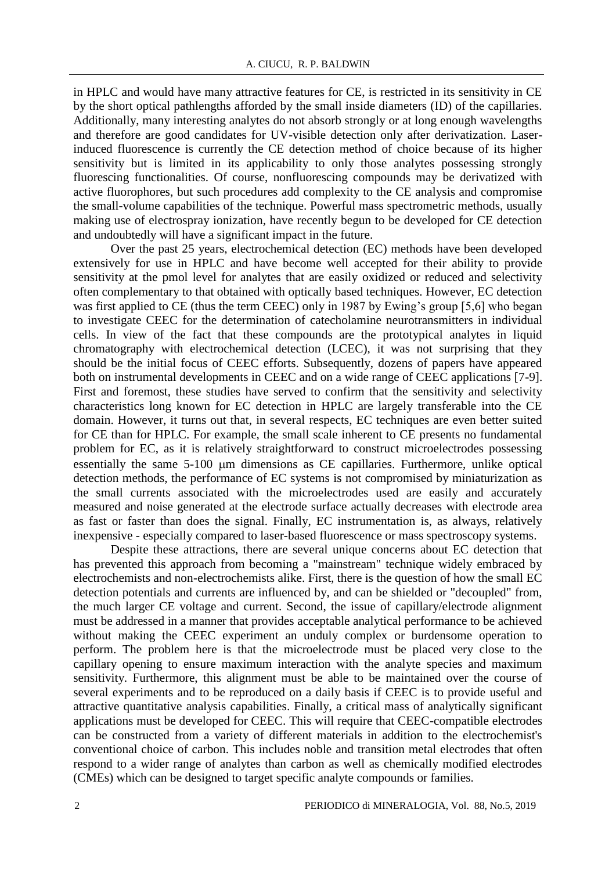in HPLC and would have many attractive features for CE, is restricted in its sensitivity in CE by the short optical pathlengths afforded by the small inside diameters (ID) of the capillaries. Additionally, many interesting analytes do not absorb strongly or at long enough wavelengths and therefore are good candidates for UV-visible detection only after derivatization. Laserinduced fluorescence is currently the CE detection method of choice because of its higher sensitivity but is limited in its applicability to only those analytes possessing strongly fluorescing functionalities. Of course, nonfluorescing compounds may be derivatized with active fluorophores, but such procedures add complexity to the CE analysis and compromise the small-volume capabilities of the technique. Powerful mass spectrometric methods, usually making use of electrospray ionization, have recently begun to be developed for CE detection and undoubtedly will have a significant impact in the future.

Over the past 25 years, electrochemical detection (EC) methods have been developed extensively for use in HPLC and have become well accepted for their ability to provide sensitivity at the pmol level for analytes that are easily oxidized or reduced and selectivity often complementary to that obtained with optically based techniques. However, EC detection was first applied to CE (thus the term CEEC) only in 1987 by Ewing's group [5,6] who began to investigate CEEC for the determination of catecholamine neurotransmitters in individual cells. In view of the fact that these compounds are the prototypical analytes in liquid chromatography with electrochemical detection (LCEC), it was not surprising that they should be the initial focus of CEEC efforts. Subsequently, dozens of papers have appeared both on instrumental developments in CEEC and on a wide range of CEEC applications [7-9]. First and foremost, these studies have served to confirm that the sensitivity and selectivity characteristics long known for EC detection in HPLC are largely transferable into the CE domain. However, it turns out that, in several respects, EC techniques are even better suited for CE than for HPLC. For example, the small scale inherent to CE presents no fundamental problem for EC, as it is relatively straightforward to construct microelectrodes possessing essentially the same  $5-100 \mu m$  dimensions as CE capillaries. Furthermore, unlike optical detection methods, the performance of EC systems is not compromised by miniaturization as the small currents associated with the microelectrodes used are easily and accurately measured and noise generated at the electrode surface actually decreases with electrode area as fast or faster than does the signal. Finally, EC instrumentation is, as always, relatively inexpensive - especially compared to laser-based fluorescence or mass spectroscopy systems.

Despite these attractions, there are several unique concerns about EC detection that has prevented this approach from becoming a "mainstream" technique widely embraced by electrochemists and non-electrochemists alike. First, there is the question of how the small EC detection potentials and currents are influenced by, and can be shielded or "decoupled" from, the much larger CE voltage and current. Second, the issue of capillary/electrode alignment must be addressed in a manner that provides acceptable analytical performance to be achieved without making the CEEC experiment an unduly complex or burdensome operation to perform. The problem here is that the microelectrode must be placed very close to the capillary opening to ensure maximum interaction with the analyte species and maximum sensitivity. Furthermore, this alignment must be able to be maintained over the course of several experiments and to be reproduced on a daily basis if CEEC is to provide useful and attractive quantitative analysis capabilities. Finally, a critical mass of analytically significant applications must be developed for CEEC. This will require that CEEC-compatible electrodes can be constructed from a variety of different materials in addition to the electrochemist's conventional choice of carbon. This includes noble and transition metal electrodes that often respond to a wider range of analytes than carbon as well as chemically modified electrodes (CMEs) which can be designed to target specific analyte compounds or families.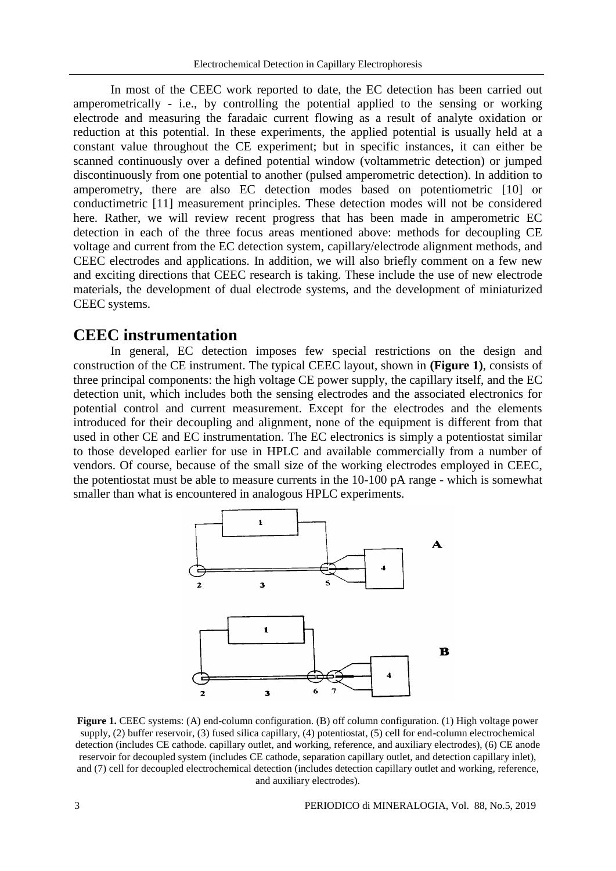In most of the CEEC work reported to date, the EC detection has been carried out amperometrically - i.e., by controlling the potential applied to the sensing or working electrode and measuring the faradaic current flowing as a result of analyte oxidation or reduction at this potential. In these experiments, the applied potential is usually held at a constant value throughout the CE experiment; but in specific instances, it can either be scanned continuously over a defined potential window (voltammetric detection) or jumped discontinuously from one potential to another (pulsed amperometric detection). In addition to amperometry, there are also EC detection modes based on potentiometric [10] or conductimetric [11] measurement principles. These detection modes will not be considered here. Rather, we will review recent progress that has been made in amperometric EC detection in each of the three focus areas mentioned above: methods for decoupling CE voltage and current from the EC detection system, capillary/electrode alignment methods, and CEEC electrodes and applications. In addition, we will also briefly comment on a few new and exciting directions that CEEC research is taking. These include the use of new electrode materials, the development of dual electrode systems, and the development of miniaturized CEEC systems.

# **CEEC instrumentation**

In general, EC detection imposes few special restrictions on the design and construction of the CE instrument. The typical CEEC layout, shown in **(Figure 1)**, consists of three principal components: the high voltage CE power supply, the capillary itself, and the EC detection unit, which includes both the sensing electrodes and the associated electronics for potential control and current measurement. Except for the electrodes and the elements introduced for their decoupling and alignment, none of the equipment is different from that used in other CE and EC instrumentation. The EC electronics is simply a potentiostat similar to those developed earlier for use in HPLC and available commercially from a number of vendors. Of course, because of the small size of the working electrodes employed in CEEC, the potentiostat must be able to measure currents in the 10-100 pA range - which is somewhat smaller than what is encountered in analogous HPLC experiments.



**Figure 1.** CEEC systems: (A) end-column configuration. (B) off column configuration. (1) High voltage power supply, (2) buffer reservoir, (3) fused silica capillary, (4) potentiostat, (5) cell for end-column electrochemical detection (includes CE cathode. capillary outlet, and working, reference, and auxiliary electrodes), (6) CE anode reservoir for decoupled system (includes CE cathode, separation capillary outlet, and detection capillary inlet), and (7) cell for decoupled electrochemical detection (includes detection capillary outlet and working, reference, and auxiliary electrodes).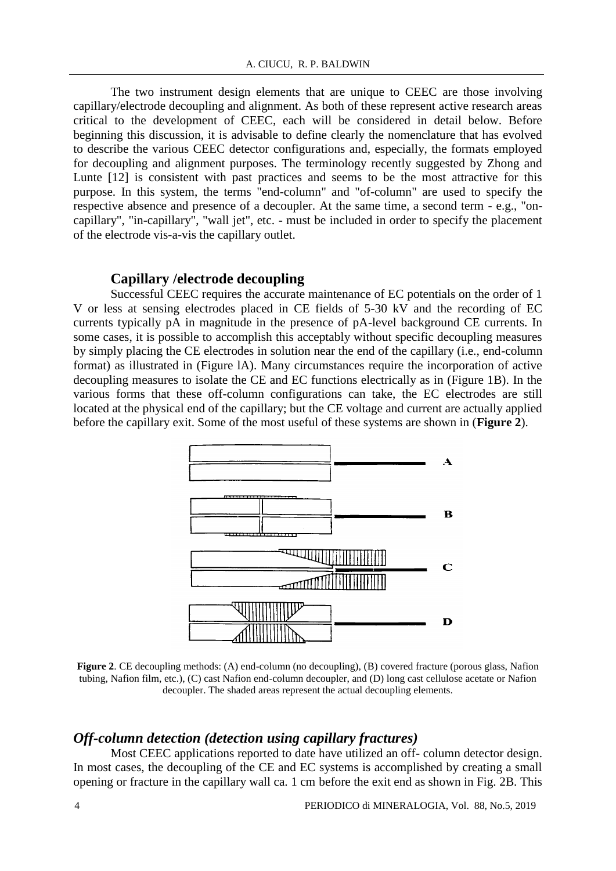The two instrument design elements that are unique to CEEC are those involving capillary/electrode decoupling and alignment. As both of these represent active research areas critical to the development of CEEC, each will be considered in detail below. Before beginning this discussion, it is advisable to define clearly the nomenclature that has evolved to describe the various CEEC detector configurations and, especially, the formats employed for decoupling and alignment purposes. The terminology recently suggested by Zhong and Lunte [12] is consistent with past practices and seems to be the most attractive for this purpose. In this system, the terms "end-column" and "of-column" are used to specify the respective absence and presence of a decoupler. At the same time, a second term - e.g., "oncapillary", "in-capillary", "wall jet", etc. - must be included in order to specify the placement of the electrode vis-a-vis the capillary outlet.

# **Capillary /electrode decoupling**

Successful CEEC requires the accurate maintenance of EC potentials on the order of 1 V or less at sensing electrodes placed in CE fields of 5-30 kV and the recording of EC currents typically pA in magnitude in the presence of pA-level background CE currents. In some cases, it is possible to accomplish this acceptably without specific decoupling measures by simply placing the CE electrodes in solution near the end of the capillary (i.e., end-column format) as illustrated in (Figure lA). Many circumstances require the incorporation of active decoupling measures to isolate the CE and EC functions electrically as in (Figure 1B). In the various forms that these off-column configurations can take, the EC electrodes are still located at the physical end of the capillary; but the CE voltage and current are actually applied before the capillary exit. Some of the most useful of these systems are shown in (**Figure 2**).



**Figure 2**. CE decoupling methods: (A) end-column (no decoupling), (B) covered fracture (porous glass, Nafion tubing, Nafion film, etc.), (C) cast Nafion end-column decoupler, and (D) long cast cellulose acetate or Nafion decoupler. The shaded areas represent the actual decoupling elements.

# *Off-column detection (detection using capillary fractures)*

Most CEEC applications reported to date have utilized an off- column detector design. In most cases, the decoupling of the CE and EC systems is accomplished by creating a small opening or fracture in the capillary wall ca. 1 cm before the exit end as shown in Fig. 2B. This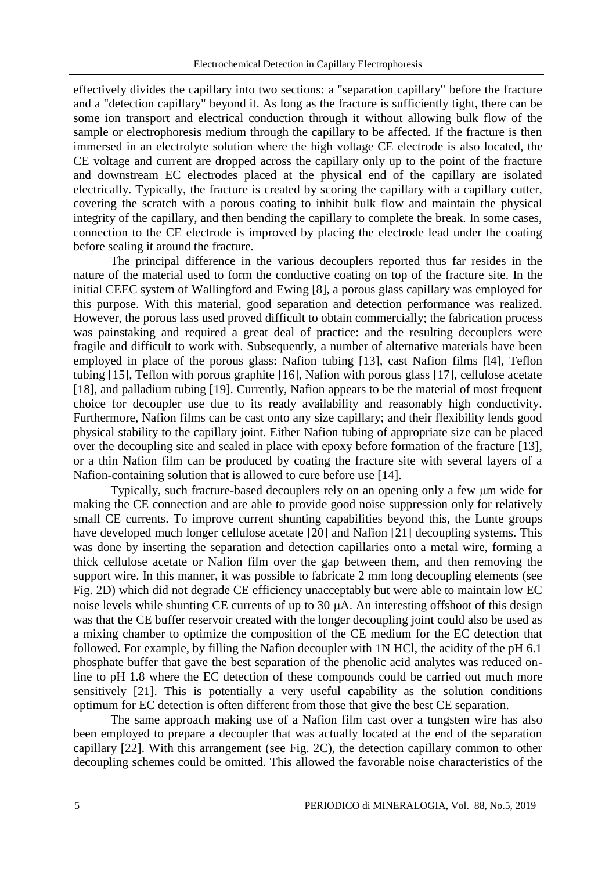effectively divides the capillary into two sections: a "separation capillary" before the fracture and a "detection capillary" beyond it. As long as the fracture is sufficiently tight, there can be some ion transport and electrical conduction through it without allowing bulk flow of the sample or electrophoresis medium through the capillary to be affected. If the fracture is then immersed in an electrolyte solution where the high voltage CE electrode is also located, the CE voltage and current are dropped across the capillary only up to the point of the fracture and downstream EC electrodes placed at the physical end of the capillary are isolated electrically. Typically, the fracture is created by scoring the capillary with a capillary cutter, covering the scratch with a porous coating to inhibit bulk flow and maintain the physical integrity of the capillary, and then bending the capillary to complete the break. In some cases, connection to the CE electrode is improved by placing the electrode lead under the coating before sealing it around the fracture.

The principal difference in the various decouplers reported thus far resides in the nature of the material used to form the conductive coating on top of the fracture site. In the initial CEEC system of Wallingford and Ewing [8], a porous glass capillary was employed for this purpose. With this material, good separation and detection performance was realized. However, the porous lass used proved difficult to obtain commercially; the fabrication process was painstaking and required a great deal of practice: and the resulting decouplers were fragile and difficult to work with. Subsequently, a number of alternative materials have been employed in place of the porous glass: Nafion tubing [13], cast Nafion films [l4], Teflon tubing [15], Teflon with porous graphite [16], Nafion with porous glass [17], cellulose acetate [18], and palladium tubing [19]. Currently, Nafion appears to be the material of most frequent choice for decoupler use due to its ready availability and reasonably high conductivity. Furthermore, Nafion films can be cast onto any size capillary; and their flexibility lends good physical stability to the capillary joint. Either Nafion tubing of appropriate size can be placed over the decoupling site and sealed in place with epoxy before formation of the fracture [13], or a thin Nafion film can be produced by coating the fracture site with several layers of a Nafion-containing solution that is allowed to cure before use [14].

Typically, such fracture-based decouplers rely on an opening only a few um wide for making the CE connection and are able to provide good noise suppression only for relatively small CE currents. To improve current shunting capabilities beyond this, the Lunte groups have developed much longer cellulose acetate [20] and Nafion [21] decoupling systems. This was done by inserting the separation and detection capillaries onto a metal wire, forming a thick cellulose acetate or Nafion film over the gap between them, and then removing the support wire. In this manner, it was possible to fabricate 2 mm long decoupling elements (see Fig. 2D) which did not degrade CE efficiency unacceptably but were able to maintain low EC noise levels while shunting CE currents of up to  $30 \mu A$ . An interesting offshoot of this design was that the CE buffer reservoir created with the longer decoupling joint could also be used as a mixing chamber to optimize the composition of the CE medium for the EC detection that followed. For example, by filling the Nafion decoupler with 1N HCl, the acidity of the pH 6.1 phosphate buffer that gave the best separation of the phenolic acid analytes was reduced online to pH 1.8 where the EC detection of these compounds could be carried out much more sensitively [21]. This is potentially a very useful capability as the solution conditions optimum for EC detection is often different from those that give the best CE separation.

The same approach making use of a Nafion film cast over a tungsten wire has also been employed to prepare a decoupler that was actually located at the end of the separation capillary [22]. With this arrangement (see Fig. 2C), the detection capillary common to other decoupling schemes could be omitted. This allowed the favorable noise characteristics of the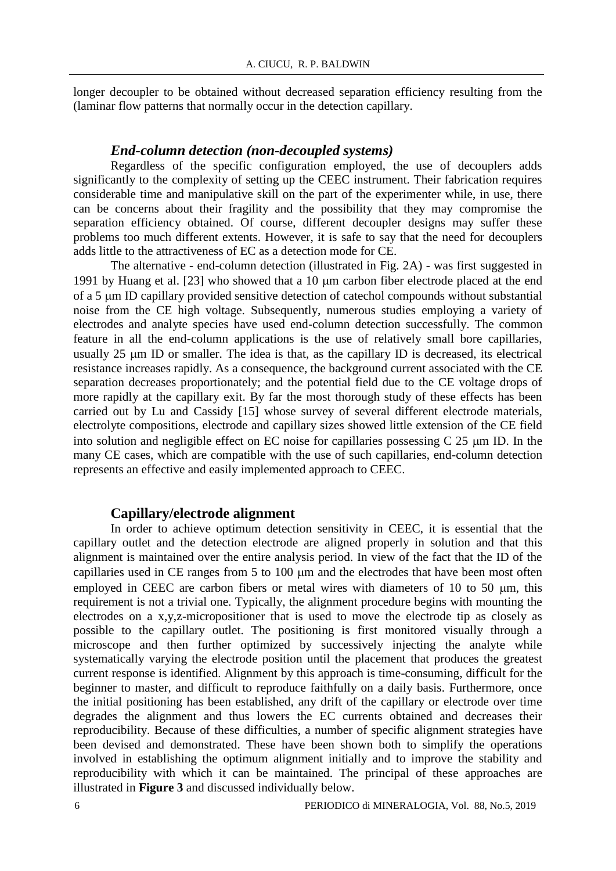longer decoupler to be obtained without decreased separation efficiency resulting from the (laminar flow patterns that normally occur in the detection capillary.

## *End-column detection (non-decoupled systems)*

Regardless of the specific configuration employed, the use of decouplers adds significantly to the complexity of setting up the CEEC instrument. Their fabrication requires considerable time and manipulative skill on the part of the experimenter while, in use, there can be concerns about their fragility and the possibility that they may compromise the separation efficiency obtained. Of course, different decoupler designs may suffer these problems too much different extents. However, it is safe to say that the need for decouplers adds little to the attractiveness of EC as a detection mode for CE.

The alternative - end-column detection (illustrated in Fig. 2A) - was first suggested in 1991 by Huang et al. [23] who showed that a 10  $\mu$ m carbon fiber electrode placed at the end of a 5  $\mu$ m ID capillary provided sensitive detection of catechol compounds without substantial noise from the CE high voltage. Subsequently, numerous studies employing a variety of electrodes and analyte species have used end-column detection successfully. The common feature in all the end-column applications is the use of relatively small bore capillaries, usually 25 um ID or smaller. The idea is that, as the capillary ID is decreased, its electrical resistance increases rapidly. As a consequence, the background current associated with the CE separation decreases proportionately; and the potential field due to the CE voltage drops of more rapidly at the capillary exit. By far the most thorough study of these effects has been carried out by Lu and Cassidy [15] whose survey of several different electrode materials, electrolyte compositions, electrode and capillary sizes showed little extension of the CE field into solution and negligible effect on EC noise for capillaries possessing  $C$  25  $\mu$ m ID. In the many CE cases, which are compatible with the use of such capillaries, end-column detection represents an effective and easily implemented approach to CEEC.

# **Capillary/electrode alignment**

In order to achieve optimum detection sensitivity in CEEC, it is essential that the capillary outlet and the detection electrode are aligned properly in solution and that this alignment is maintained over the entire analysis period. In view of the fact that the ID of the capillaries used in CE ranges from 5 to 100 µm and the electrodes that have been most often employed in CEEC are carbon fibers or metal wires with diameters of 10 to 50  $\mu$ m, this requirement is not a trivial one. Typically, the alignment procedure begins with mounting the electrodes on a x,y,z-micropositioner that is used to move the electrode tip as closely as possible to the capillary outlet. The positioning is first monitored visually through a microscope and then further optimized by successively injecting the analyte while systematically varying the electrode position until the placement that produces the greatest current response is identified. Alignment by this approach is time-consuming, difficult for the beginner to master, and difficult to reproduce faithfully on a daily basis. Furthermore, once the initial positioning has been established, any drift of the capillary or electrode over time degrades the alignment and thus lowers the EC currents obtained and decreases their reproducibility. Because of these difficulties, a number of specific alignment strategies have been devised and demonstrated. These have been shown both to simplify the operations involved in establishing the optimum alignment initially and to improve the stability and reproducibility with which it can be maintained. The principal of these approaches are illustrated in **Figure 3** and discussed individually below.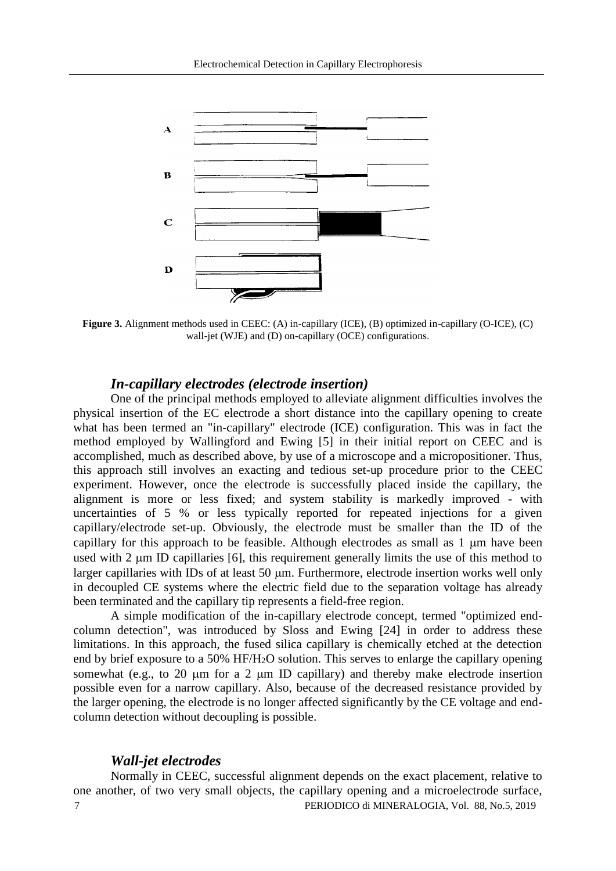

**Figure 3.** Alignment methods used in CEEC: (A) in-capillary (ICE), (B) optimized in-capillary (O-ICE), (C) wall-jet (WJE) and (D) on-capillary (OCE) configurations.

## *In-capillary electrodes (electrode insertion)*

One of the principal methods employed to alleviate alignment difficulties involves the physical insertion of the EC electrode a short distance into the capillary opening to create what has been termed an "in-capillary" electrode (ICE) configuration. This was in fact the method employed by Wallingford and Ewing [5] in their initial report on CEEC and is accomplished, much as described above, by use of a microscope and a micropositioner. Thus, this approach still involves an exacting and tedious set-up procedure prior to the CEEC experiment. However, once the electrode is successfully placed inside the capillary, the alignment is more or less fixed; and system stability is markedly improved - with uncertainties of 5 % or less typically reported for repeated injections for a given capillary/electrode set-up. Obviously, the electrode must be smaller than the ID of the capillary for this approach to be feasible. Although electrodes as small as  $1 \mu m$  have been used with  $2 \mu m$  ID capillaries [6], this requirement generally limits the use of this method to larger capillaries with IDs of at least 50  $\mu$ m. Furthermore, electrode insertion works well only in decoupled CE systems where the electric field due to the separation voltage has already been terminated and the capillary tip represents a field-free region.

A simple modification of the in-capillary electrode concept, termed "optimized endcolumn detection", was introduced by Sloss and Ewing [24] in order to address these limitations. In this approach, the fused silica capillary is chemically etched at the detection end by brief exposure to a 50% HF/H2O solution. This serves to enlarge the capillary opening somewhat (e.g., to 20  $\mu$ m for a 2  $\mu$ m ID capillary) and thereby make electrode insertion possible even for a narrow capillary. Also, because of the decreased resistance provided by the larger opening, the electrode is no longer affected significantly by the CE voltage and endcolumn detection without decoupling is possible.

#### *Wall-jet electrodes*

Normally in CEEC, successful alignment depends on the exact placement, relative to one another, of two very small objects, the capillary opening and a microelectrode surface, 7 PERIODICO di MINERALOGIA, Vol. 88, No.5, 2019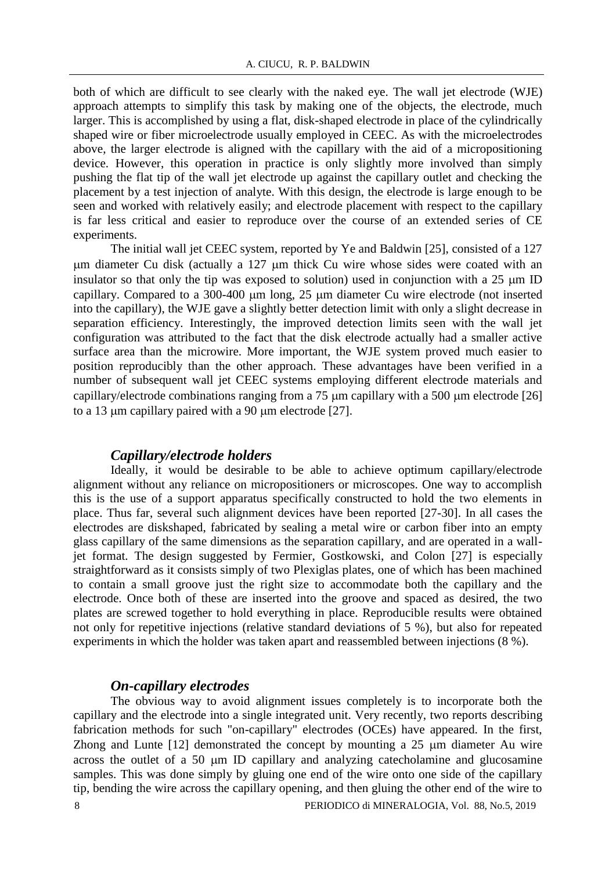both of which are difficult to see clearly with the naked eye. The wall jet electrode (WJE) approach attempts to simplify this task by making one of the objects, the electrode, much larger. This is accomplished by using a flat, disk-shaped electrode in place of the cylindrically shaped wire or fiber microelectrode usually employed in CEEC. As with the microelectrodes above, the larger electrode is aligned with the capillary with the aid of a micropositioning device. However, this operation in practice is only slightly more involved than simply pushing the flat tip of the wall jet electrode up against the capillary outlet and checking the placement by a test injection of analyte. With this design, the electrode is large enough to be seen and worked with relatively easily; and electrode placement with respect to the capillary is far less critical and easier to reproduce over the course of an extended series of CE experiments.

The initial wall jet CEEC system, reported by Ye and Baldwin [25], consisted of a 127 um diameter Cu disk (actually a 127 µm thick Cu wire whose sides were coated with an insulator so that only the tip was exposed to solution) used in conjunction with a  $25 \mu m$  ID capillary. Compared to a 300-400 µm long, 25 µm diameter Cu wire electrode (not inserted into the capillary), the WJE gave a slightly better detection limit with only a slight decrease in separation efficiency. Interestingly, the improved detection limits seen with the wall jet configuration was attributed to the fact that the disk electrode actually had a smaller active surface area than the microwire. More important, the WJE system proved much easier to position reproducibly than the other approach. These advantages have been verified in a number of subsequent wall jet CEEC systems employing different electrode materials and capillary/electrode combinations ranging from a 75  $\mu$ m capillary with a 500  $\mu$ m electrode [26] to a 13  $\mu$ m capillary paired with a 90  $\mu$ m electrode [27].

#### *Capillary/electrode holders*

Ideally, it would be desirable to be able to achieve optimum capillary/electrode alignment without any reliance on micropositioners or microscopes. One way to accomplish this is the use of a support apparatus specifically constructed to hold the two elements in place. Thus far, several such alignment devices have been reported [27-30]. In all cases the electrodes are diskshaped, fabricated by sealing a metal wire or carbon fiber into an empty glass capillary of the same dimensions as the separation capillary, and are operated in a walljet format. The design suggested by Fermier, Gostkowski, and Colon [27] is especially straightforward as it consists simply of two Plexiglas plates, one of which has been machined to contain a small groove just the right size to accommodate both the capillary and the electrode. Once both of these are inserted into the groove and spaced as desired, the two plates are screwed together to hold everything in place. Reproducible results were obtained not only for repetitive injections (relative standard deviations of 5 %), but also for repeated experiments in which the holder was taken apart and reassembled between injections (8 %).

# *On-capillary electrodes*

The obvious way to avoid alignment issues completely is to incorporate both the capillary and the electrode into a single integrated unit. Very recently, two reports describing fabrication methods for such "on-capillary" electrodes (OCEs) have appeared. In the first, Zhong and Lunte  $[12]$  demonstrated the concept by mounting a 25  $\mu$ m diameter Au wire across the outlet of a 50  $\mu$ m ID capillary and analyzing catecholamine and glucosamine samples. This was done simply by gluing one end of the wire onto one side of the capillary tip, bending the wire across the capillary opening, and then gluing the other end of the wire to 8 PERIODICO di MINERALOGIA, Vol. 88, No.5, 2019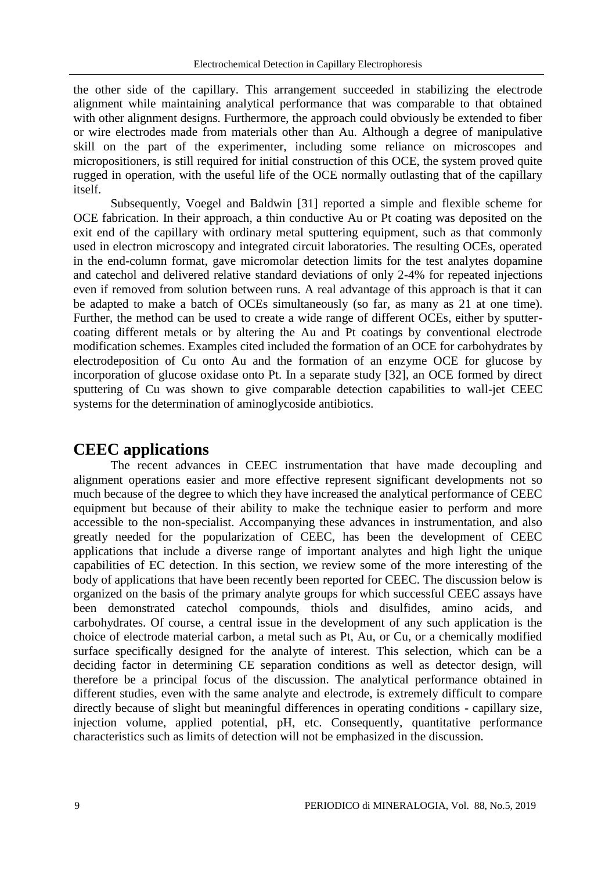the other side of the capillary. This arrangement succeeded in stabilizing the electrode alignment while maintaining analytical performance that was comparable to that obtained with other alignment designs. Furthermore, the approach could obviously be extended to fiber or wire electrodes made from materials other than Au. Although a degree of manipulative skill on the part of the experimenter, including some reliance on microscopes and micropositioners, is still required for initial construction of this OCE, the system proved quite rugged in operation, with the useful life of the OCE normally outlasting that of the capillary itself.

Subsequently, Voegel and Baldwin [31] reported a simple and flexible scheme for OCE fabrication. In their approach, a thin conductive Au or Pt coating was deposited on the exit end of the capillary with ordinary metal sputtering equipment, such as that commonly used in electron microscopy and integrated circuit laboratories. The resulting OCEs, operated in the end-column format, gave micromolar detection limits for the test analytes dopamine and catechol and delivered relative standard deviations of only 2-4% for repeated injections even if removed from solution between runs. A real advantage of this approach is that it can be adapted to make a batch of OCEs simultaneously (so far, as many as 21 at one time). Further, the method can be used to create a wide range of different OCEs, either by sputtercoating different metals or by altering the Au and Pt coatings by conventional electrode modification schemes. Examples cited included the formation of an OCE for carbohydrates by electrodeposition of Cu onto Au and the formation of an enzyme OCE for glucose by incorporation of glucose oxidase onto Pt. In a separate study [32], an OCE formed by direct sputtering of Cu was shown to give comparable detection capabilities to wall-jet CEEC systems for the determination of aminoglycoside antibiotics.

# **CEEC applications**

The recent advances in CEEC instrumentation that have made decoupling and alignment operations easier and more effective represent significant developments not so much because of the degree to which they have increased the analytical performance of CEEC equipment but because of their ability to make the technique easier to perform and more accessible to the non-specialist. Accompanying these advances in instrumentation, and also greatly needed for the popularization of CEEC, has been the development of CEEC applications that include a diverse range of important analytes and high light the unique capabilities of EC detection. In this section, we review some of the more interesting of the body of applications that have been recently been reported for CEEC. The discussion below is organized on the basis of the primary analyte groups for which successful CEEC assays have been demonstrated catechol compounds, thiols and disulfides, amino acids, and carbohydrates. Of course, a central issue in the development of any such application is the choice of electrode material carbon, a metal such as Pt, Au, or Cu, or a chemically modified surface specifically designed for the analyte of interest. This selection, which can be a deciding factor in determining CE separation conditions as well as detector design, will therefore be a principal focus of the discussion. The analytical performance obtained in different studies, even with the same analyte and electrode, is extremely difficult to compare directly because of slight but meaningful differences in operating conditions - capillary size, injection volume, applied potential, pH, etc. Consequently, quantitative performance characteristics such as limits of detection will not be emphasized in the discussion.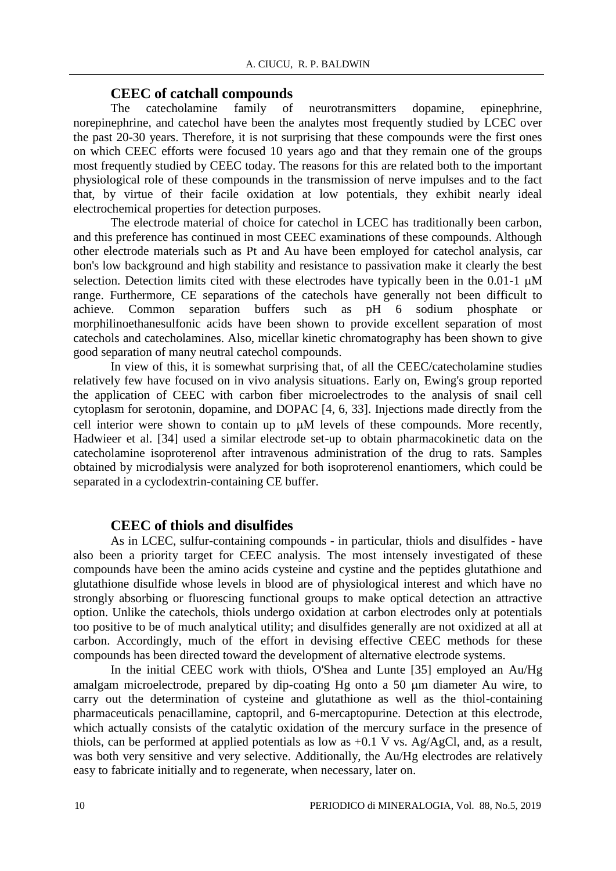# **CEEC of catchall compounds**<br>The catecholamine family of

family of neurotransmitters dopamine, epinephrine, norepinephrine, and catechol have been the analytes most frequently studied by LCEC over the past 20-30 years. Therefore, it is not surprising that these compounds were the first ones on which CEEC efforts were focused 10 years ago and that they remain one of the groups most frequently studied by CEEC today. The reasons for this are related both to the important physiological role of these compounds in the transmission of nerve impulses and to the fact that, by virtue of their facile oxidation at low potentials, they exhibit nearly ideal electrochemical properties for detection purposes.

The electrode material of choice for catechol in LCEC has traditionally been carbon, and this preference has continued in most CEEC examinations of these compounds. Although other electrode materials such as Pt and Au have been employed for catechol analysis, car bon's low background and high stability and resistance to passivation make it clearly the best selection. Detection limits cited with these electrodes have typically been in the  $0.01$ -1  $\mu$ M range. Furthermore, CE separations of the catechols have generally not been difficult to achieve. Common separation buffers such as pH 6 sodium phosphate or morphilinoethanesulfonic acids have been shown to provide excellent separation of most catechols and catecholamines. Also, micellar kinetic chromatography has been shown to give good separation of many neutral catechol compounds.

In view of this, it is somewhat surprising that, of all the CEEC/catecholamine studies relatively few have focused on in vivo analysis situations. Early on, Ewing's group reported the application of CEEC with carbon fiber microelectrodes to the analysis of snail cell cytoplasm for serotonin, dopamine, and DOPAC [4, 6, 33]. Injections made directly from the cell interior were shown to contain up to  $\mu$ M levels of these compounds. More recently, Hadwieer et al. [34] used a similar electrode set-up to obtain pharmacokinetic data on the catecholamine isoproterenol after intravenous administration of the drug to rats. Samples obtained by microdialysis were analyzed for both isoproterenol enantiomers, which could be separated in a cyclodextrin-containing CE buffer.

# **CEEC of thiols and disulfides**

As in LCEC, sulfur-containing compounds - in particular, thiols and disulfides - have also been a priority target for CEEC analysis. The most intensely investigated of these compounds have been the amino acids cysteine and cystine and the peptides glutathione and glutathione disulfide whose levels in blood are of physiological interest and which have no strongly absorbing or fluorescing functional groups to make optical detection an attractive option. Unlike the catechols, thiols undergo oxidation at carbon electrodes only at potentials too positive to be of much analytical utility; and disulfides generally are not oxidized at all at carbon. Accordingly, much of the effort in devising effective CEEC methods for these compounds has been directed toward the development of alternative electrode systems.

In the initial CEEC work with thiols, O'Shea and Lunte [35] employed an Au/Hg amalgam microelectrode, prepared by dip-coating Hg onto a 50 µm diameter Au wire, to carry out the determination of cysteine and glutathione as well as the thiol-containing pharmaceuticals penacillamine, captopril, and 6-mercaptopurine. Detection at this electrode, which actually consists of the catalytic oxidation of the mercury surface in the presence of thiols, can be performed at applied potentials as low as +0.1 V vs. Ag/AgCl, and, as a result, was both very sensitive and very selective. Additionally, the Au/Hg electrodes are relatively easy to fabricate initially and to regenerate, when necessary, later on.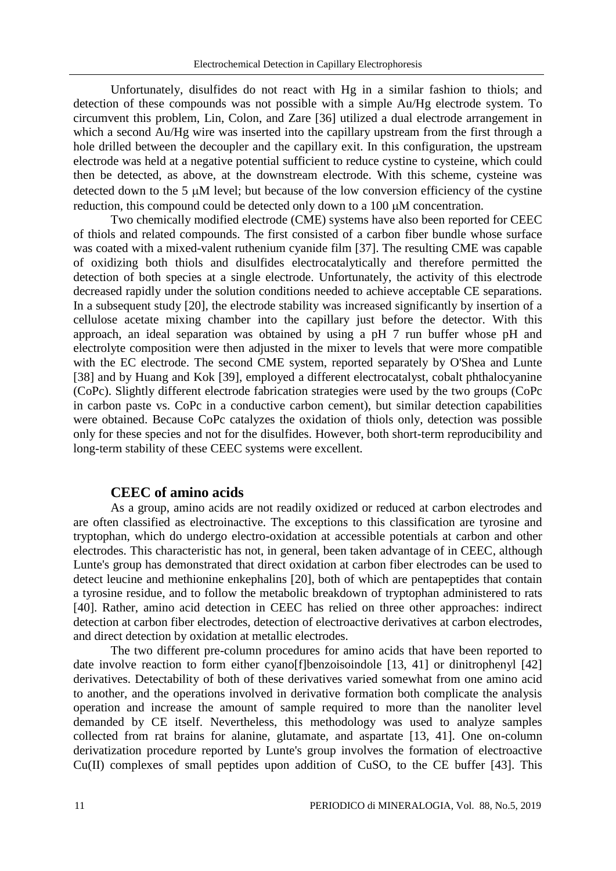Unfortunately, disulfides do not react with Hg in a similar fashion to thiols; and detection of these compounds was not possible with a simple Au/Hg electrode system. To circumvent this problem, Lin, Colon, and Zare [36] utilized a dual electrode arrangement in which a second Au/Hg wire was inserted into the capillary upstream from the first through a hole drilled between the decoupler and the capillary exit. In this configuration, the upstream electrode was held at a negative potential sufficient to reduce cystine to cysteine, which could then be detected, as above, at the downstream electrode. With this scheme, cysteine was detected down to the 5  $\mu$ M level; but because of the low conversion efficiency of the cystine reduction, this compound could be detected only down to a 100  $\mu$ M concentration.

Two chemically modified electrode (CME) systems have also been reported for CEEC of thiols and related compounds. The first consisted of a carbon fiber bundle whose surface was coated with a mixed-valent ruthenium cyanide film [37]. The resulting CME was capable of oxidizing both thiols and disulfides electrocatalytically and therefore permitted the detection of both species at a single electrode. Unfortunately, the activity of this electrode decreased rapidly under the solution conditions needed to achieve acceptable CE separations. In a subsequent study [20], the electrode stability was increased significantly by insertion of a cellulose acetate mixing chamber into the capillary just before the detector. With this approach, an ideal separation was obtained by using a pH 7 run buffer whose pH and electrolyte composition were then adjusted in the mixer to levels that were more compatible with the EC electrode. The second CME system, reported separately by O'Shea and Lunte [38] and by Huang and Kok [39], employed a different electrocatalyst, cobalt phthalocyanine (CoPc). Slightly different electrode fabrication strategies were used by the two groups (CoPc in carbon paste vs. CoPc in a conductive carbon cement), but similar detection capabilities were obtained. Because CoPc catalyzes the oxidation of thiols only, detection was possible only for these species and not for the disulfides. However, both short-term reproducibility and long-term stability of these CEEC systems were excellent.

# **CEEC of amino acids**

As a group, amino acids are not readily oxidized or reduced at carbon electrodes and are often classified as electroinactive. The exceptions to this classification are tyrosine and tryptophan, which do undergo electro-oxidation at accessible potentials at carbon and other electrodes. This characteristic has not, in general, been taken advantage of in CEEC, although Lunte's group has demonstrated that direct oxidation at carbon fiber electrodes can be used to detect leucine and methionine enkephalins [20], both of which are pentapeptides that contain a tyrosine residue, and to follow the metabolic breakdown of tryptophan administered to rats [40]. Rather, amino acid detection in CEEC has relied on three other approaches: indirect detection at carbon fiber electrodes, detection of electroactive derivatives at carbon electrodes, and direct detection by oxidation at metallic electrodes.

The two different pre-column procedures for amino acids that have been reported to date involve reaction to form either cyano[f]benzoisoindole [13, 41] or dinitrophenyl [42] derivatives. Detectability of both of these derivatives varied somewhat from one amino acid to another, and the operations involved in derivative formation both complicate the analysis operation and increase the amount of sample required to more than the nanoliter level demanded by CE itself. Nevertheless, this methodology was used to analyze samples collected from rat brains for alanine, glutamate, and aspartate [13, 41]. One on-column derivatization procedure reported by Lunte's group involves the formation of electroactive Cu(II) complexes of small peptides upon addition of CuSO, to the CE buffer [43]. This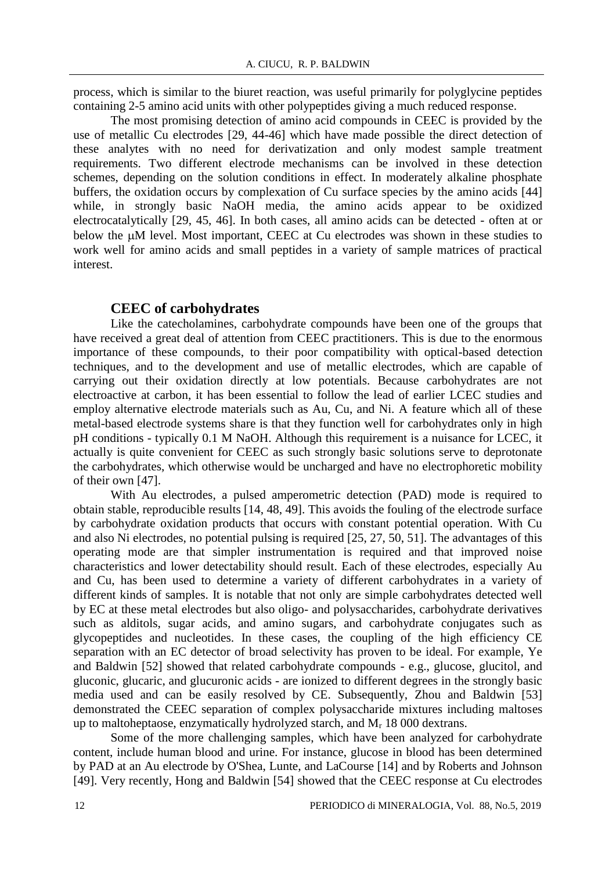process, which is similar to the biuret reaction, was useful primarily for polyglycine peptides containing 2-5 amino acid units with other polypeptides giving a much reduced response.

The most promising detection of amino acid compounds in CEEC is provided by the use of metallic Cu electrodes [29, 44-46] which have made possible the direct detection of these analytes with no need for derivatization and only modest sample treatment requirements. Two different electrode mechanisms can be involved in these detection schemes, depending on the solution conditions in effect. In moderately alkaline phosphate buffers, the oxidation occurs by complexation of Cu surface species by the amino acids [44] while, in strongly basic NaOH media, the amino acids appear to be oxidized electrocatalytically [29, 45, 46]. In both cases, all amino acids can be detected - often at or below the µM level. Most important, CEEC at Cu electrodes was shown in these studies to work well for amino acids and small peptides in a variety of sample matrices of practical interest.

#### **CEEC of carbohydrates**

Like the catecholamines, carbohydrate compounds have been one of the groups that have received a great deal of attention from CEEC practitioners. This is due to the enormous importance of these compounds, to their poor compatibility with optical-based detection techniques, and to the development and use of metallic electrodes, which are capable of carrying out their oxidation directly at low potentials. Because carbohydrates are not electroactive at carbon, it has been essential to follow the lead of earlier LCEC studies and employ alternative electrode materials such as Au, Cu, and Ni. A feature which all of these metal-based electrode systems share is that they function well for carbohydrates only in high pH conditions - typically 0.1 M NaOH. Although this requirement is a nuisance for LCEC, it actually is quite convenient for CEEC as such strongly basic solutions serve to deprotonate the carbohydrates, which otherwise would be uncharged and have no electrophoretic mobility of their own [47].

With Au electrodes, a pulsed amperometric detection (PAD) mode is required to obtain stable, reproducible results [14, 48, 49]. This avoids the fouling of the electrode surface by carbohydrate oxidation products that occurs with constant potential operation. With Cu and also Ni electrodes, no potential pulsing is required [25, 27, 50, 51]. The advantages of this operating mode are that simpler instrumentation is required and that improved noise characteristics and lower detectability should result. Each of these electrodes, especially Au and Cu, has been used to determine a variety of different carbohydrates in a variety of different kinds of samples. It is notable that not only are simple carbohydrates detected well by EC at these metal electrodes but also oligo- and polysaccharides, carbohydrate derivatives such as alditols, sugar acids, and amino sugars, and carbohydrate conjugates such as glycopeptides and nucleotides. In these cases, the coupling of the high efficiency CE separation with an EC detector of broad selectivity has proven to be ideal. For example, Ye and Baldwin [52] showed that related carbohydrate compounds - e.g., glucose, glucitol, and gluconic, glucaric, and glucuronic acids - are ionized to different degrees in the strongly basic media used and can be easily resolved by CE. Subsequently, Zhou and Baldwin [53] demonstrated the CEEC separation of complex polysaccharide mixtures including maltoses up to maltoheptaose, enzymatically hydrolyzed starch, and M<sup>r</sup> 18 000 dextrans.

Some of the more challenging samples, which have been analyzed for carbohydrate content, include human blood and urine. For instance, glucose in blood has been determined by PAD at an Au electrode by O'Shea, Lunte, and LaCourse [14] and by Roberts and Johnson [49]. Very recently, Hong and Baldwin [54] showed that the CEEC response at Cu electrodes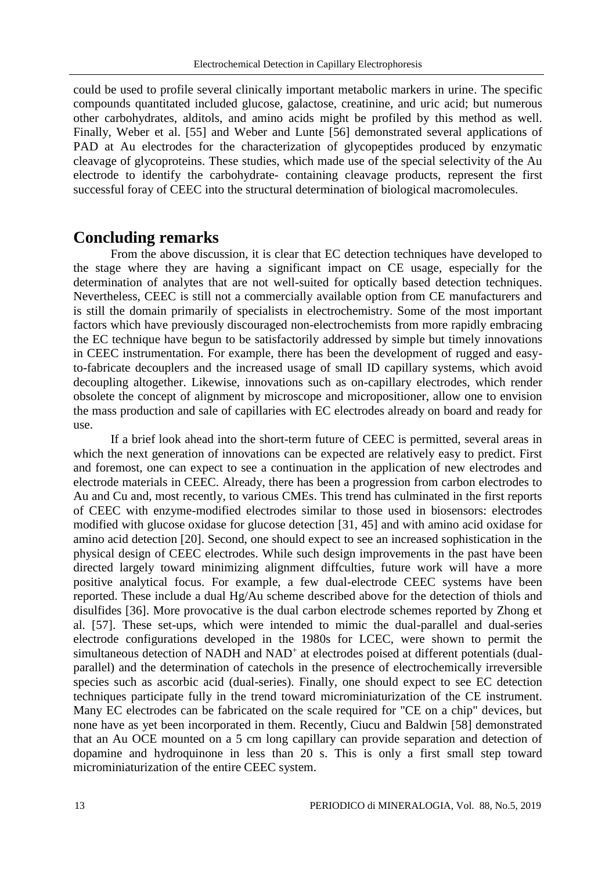could be used to profile several clinically important metabolic markers in urine. The specific compounds quantitated included glucose, galactose, creatinine, and uric acid; but numerous other carbohydrates, alditols, and amino acids might be profiled by this method as well. Finally, Weber et al. [55] and Weber and Lunte [56] demonstrated several applications of PAD at Au electrodes for the characterization of glycopeptides produced by enzymatic cleavage of glycoproteins. These studies, which made use of the special selectivity of the Au electrode to identify the carbohydrate- containing cleavage products, represent the first successful foray of CEEC into the structural determination of biological macromolecules.

# **Concluding remarks**

From the above discussion, it is clear that EC detection techniques have developed to the stage where they are having a significant impact on CE usage, especially for the determination of analytes that are not well-suited for optically based detection techniques. Nevertheless, CEEC is still not a commercially available option from CE manufacturers and is still the domain primarily of specialists in electrochemistry. Some of the most important factors which have previously discouraged non-electrochemists from more rapidly embracing the EC technique have begun to be satisfactorily addressed by simple but timely innovations in CEEC instrumentation. For example, there has been the development of rugged and easyto-fabricate decouplers and the increased usage of small ID capillary systems, which avoid decoupling altogether. Likewise, innovations such as on-capillary electrodes, which render obsolete the concept of alignment by microscope and micropositioner, allow one to envision the mass production and sale of capillaries with EC electrodes already on board and ready for use.

If a brief look ahead into the short-term future of CEEC is permitted, several areas in which the next generation of innovations can be expected are relatively easy to predict. First and foremost, one can expect to see a continuation in the application of new electrodes and electrode materials in CEEC. Already, there has been a progression from carbon electrodes to Au and Cu and, most recently, to various CMEs. This trend has culminated in the first reports of CEEC with enzyme-modified electrodes similar to those used in biosensors: electrodes modified with glucose oxidase for glucose detection [31, 45] and with amino acid oxidase for amino acid detection [20]. Second, one should expect to see an increased sophistication in the physical design of CEEC electrodes. While such design improvements in the past have been directed largely toward minimizing alignment diffculties, future work will have a more positive analytical focus. For example, a few dual-electrode CEEC systems have been reported. These include a dual Hg/Au scheme described above for the detection of thiols and disulfides [36]. More provocative is the dual carbon electrode schemes reported by Zhong et al. [57]. These set-ups, which were intended to mimic the dual-parallel and dual-series electrode configurations developed in the 1980s for LCEC, were shown to permit the simultaneous detection of NADH and NAD<sup>+</sup> at electrodes poised at different potentials (dualparallel) and the determination of catechols in the presence of electrochemically irreversible species such as ascorbic acid (dual-series). Finally, one should expect to see EC detection techniques participate fully in the trend toward microminiaturization of the CE instrument. Many EC electrodes can be fabricated on the scale required for "CE on a chip" devices, but none have as yet been incorporated in them. Recently, Ciucu and Baldwin [58] demonstrated that an Au OCE mounted on a 5 cm long capillary can provide separation and detection of dopamine and hydroquinone in less than 20 s. This is only a first small step toward microminiaturization of the entire CEEC system.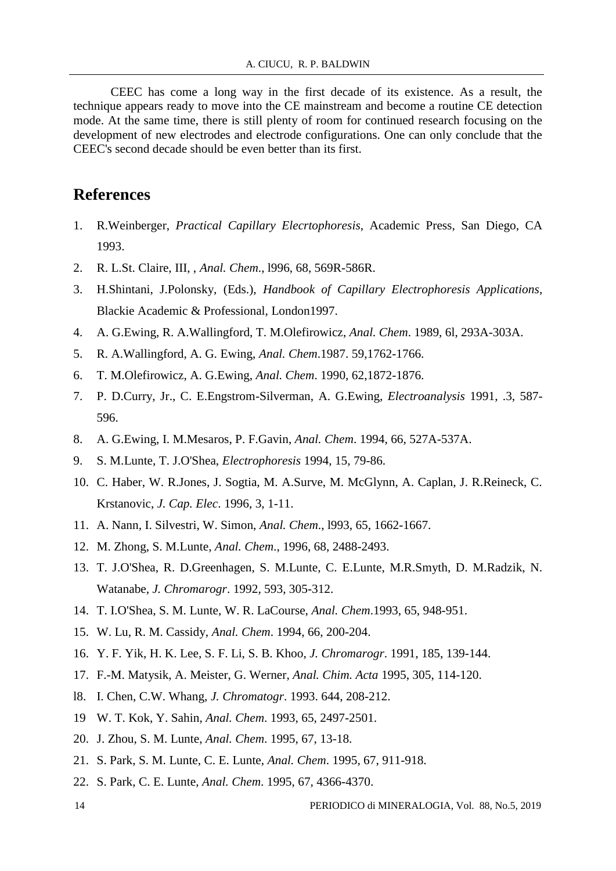CEEC has come a long way in the first decade of its existence. As a result, the technique appears ready to move into the CE mainstream and become a routine CE detection mode. At the same time, there is still plenty of room for continued research focusing on the development of new electrodes and electrode configurations. One can only conclude that the CEEC's second decade should be even better than its first.

# **References**

- 1. R.Weinberger, *Practical Capillary Elecrtophoresis*, Academic Press, San Diego, CA 1993.
- 2. R. L.St. Claire, III, , *Anal. Chem*., l996, 68, 569R-586R.
- 3. H.Shintani, J.Polonsky, (Eds.), *Handbook of Capillary Electrophoresis Applications*, Blackie Academic & Professional, London1997.
- 4. A. G.Ewing, R. A.Wallingford, T. M.Olefirowicz, *Anal. Chem*. 1989, 6l, 293A-303A.
- 5. R. A.Wallingford, A. G. Ewing, *Anal. Chem*.1987. 59,1762-1766.
- 6. T. M.Olefirowicz, A. G.Ewing, *Anal. Chem*. 1990, 62,1872-1876.
- 7. P. D.Curry, Jr., C. E.Engstrom-Silverman, A. G.Ewing, *Electroanalysis* 1991, .3, 587- 596.
- 8. A. G.Ewing, I. M.Mesaros, P. F.Gavin, *Anal. Chem*. 1994, 66, 527A-537A.
- 9. S. M.Lunte, T. J.O'Shea, *Electrophoresis* 1994, 15, 79-86.
- 10. C. Haber, W. R.Jones, J. Sogtia, M. A.Surve, M. McGlynn, A. Caplan, J. R.Reineck, C. Krstanovic, *J. Cap. Elec*. 1996, 3, 1-11.
- 11. A. Nann, I. Silvestri, W. Simon, *Anal. Chem*., l993, 65, 1662-1667.
- 12. M. Zhong, S. M.Lunte, *Anal. Chem*., 1996, 68, 2488-2493.
- 13. T. J.O'Shea, R. D.Greenhagen, S. M.Lunte, C. E.Lunte, M.R.Smyth, D. M.Radzik, N. Watanabe, *J. Chromarogr*. 1992, 593, 305-312.
- 14. T. I.O'Shea, S. M. Lunte, W. R. LaCourse, *Anal. Chem*.1993, 65, 948-951.
- 15. W. Lu, R. M. Cassidy, *Anal. Chem*. 1994, 66, 200-204.
- 16. Y. F. Yik, H. K. Lee, S. F. Li, S. B. Khoo, *J. Chromarogr*. 1991, 185, 139-144.
- 17. F.-M. Matysik, A. Meister, G. Werner, *Anal. Chim. Acta* 1995, 305, 114-120.
- l8. I. Chen, C.W. Whang, *J. Chromatogr*. 1993. 644, 208-212.
- 19 W. T. Kok, Y. Sahin, *Anal. Chem*. 1993, 65, 2497-2501.
- 20. J. Zhou, S. M. Lunte, *Anal. Chem*. 1995, 67, 13-18.
- 21. S. Park, S. M. Lunte, C. E. Lunte, *Anal. Chem*. 1995, 67, 911-918.
- 22. S. Park, C. E. Lunte, *Anal. Chem*. 1995, 67, 4366-4370.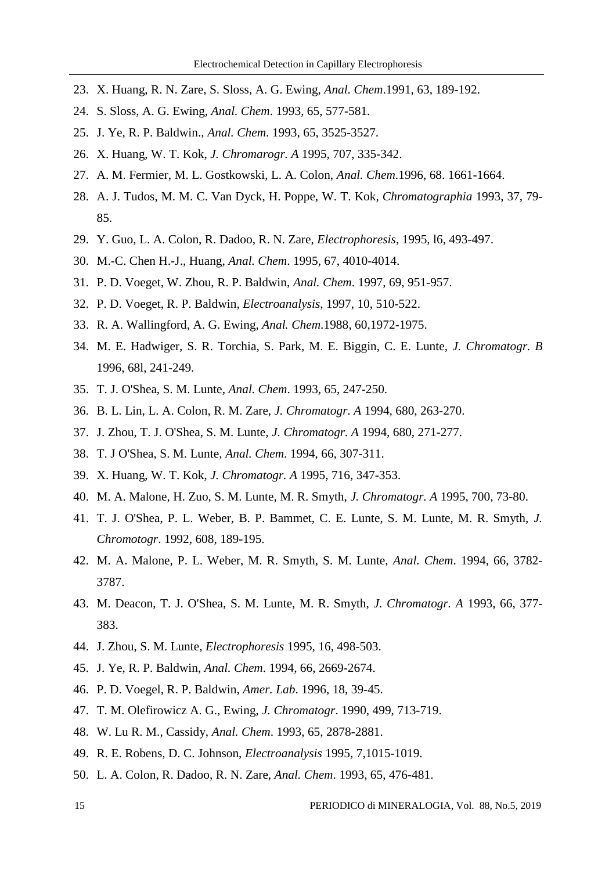- 23. X. Huang, R. N. Zare, S. Sloss, A. G. Ewing, *Anal. Chem*.1991, 63, 189-192.
- 24. S. Sloss, A. G. Ewing, *Anal. Chem*. 1993, 65, 577-581.
- 25. J. Ye, R. P. Baldwin., *Anal. Chem*. 1993, 65, 3525-3527.
- 26. X. Huang, W. T. Kok, *J. Chromarogr. A* 1995, 707, 335-342.
- 27. A. M. Fermier, M. L. Gostkowski, L. A. Colon, *Anal. Chem*.1996, 68. 1661-1664.
- 28. A. J. Tudos, M. M. C. Van Dyck, H. Poppe, W. T. Kok, *Chromatographia* 1993, 37, 79- 85.
- 29. Y. Guo, L. A. Colon, R. Dadoo, R. N. Zare, *Electrophoresis*, 1995, l6, 493-497.
- 30. M.-C. Chen H.-J., Huang, *Anal. Chem*. 1995, 67, 4010-4014.
- 31. P. D. Voeget, W. Zhou, R. P. Baldwin, *Anal. Chem*. 1997, 69, 951-957.
- 32. P. D. Voeget, R. P. Baldwin, *Electroanalysis*, 1997, 10, 510-522.
- 33. R. A. Wallingford, A. G. Ewing, *Anal. Chem*.1988, 60,1972-1975.
- 34. M. E. Hadwiger, S. R. Torchia, S. Park, M. E. Biggin, C. E. Lunte, *J. Chromatogr. B* 1996, 68l, 241-249.
- 35. T. J. O'Shea, S. M. Lunte, *Anal. Chem*. 1993, 65, 247-250.
- 36. B. L. Lin, L. A. Colon, R. M. Zare, *J. Chromatogr. A* 1994, 680, 263-270.
- 37. J. Zhou, T. J. O'Shea, S. M. Lunte, *J. Chromatogr. A* 1994, 680, 271-277.
- 38. T. J O'Shea, S. M. Lunte, *Anal. Chem*. 1994, 66, 307-311.
- 39. X. Huang, W. T. Kok, *J. Chromatogr. A* 1995, 716, 347-353.
- 40. M. A. Malone, H. Zuo, S. M. Lunte, M. R. Smyth, *J. Chromatogr. A* 1995, 700, 73-80.
- 41. T. J. O'Shea, P. L. Weber, B. P. Bammet, C. E. Lunte, S. M. Lunte, M. R. Smyth, *J. Chromotogr*. 1992, 608, 189-195.
- 42. M. A. Malone, P. L. Weber, M. R. Smyth, S. M. Lunte, *Anal. Chem*. 1994, 66, 3782- 3787.
- 43. M. Deacon, T. J. O'Shea, S. M. Lunte, M. R. Smyth, *J. Chromatogr. A* 1993, 66, 377- 383.
- 44. J. Zhou, S. M. Lunte, *Electrophoresis* 1995, 16, 498-503.
- 45. J. Ye, R. P. Baldwin, *Anal. Chem*. 1994, 66, 2669-2674.
- 46. P. D. Voegel, R. P. Baldwin, *Amer. Lab*. 1996, 18, 39-45.
- 47. T. M. Olefirowicz A. G., Ewing, *J. Chromatogr*. 1990, 499, 713-719.
- 48. W. Lu R. M., Cassidy, *Anal. Chem*. 1993, 65, 2878-2881.
- 49. R. E. Robens, D. C. Johnson, *Electroanalysis* 1995, 7,1015-1019.
- 50. L. A. Colon, R. Dadoo, R. N. Zare, *Anal. Chem*. 1993, 65, 476-481.